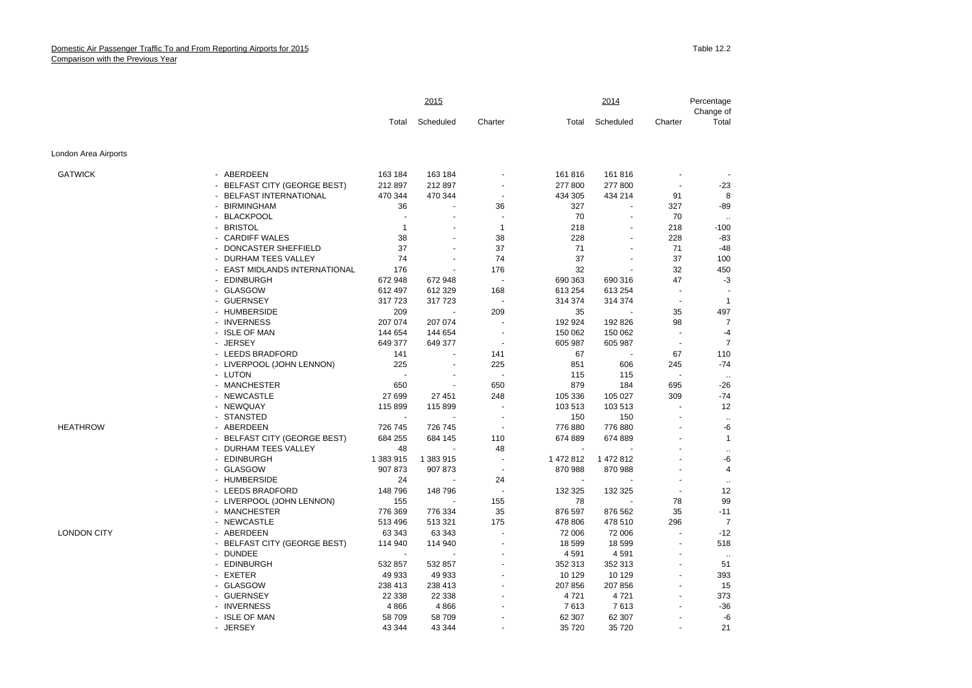|                      |                               | 2015<br>2014 |                          |                |           | Percentage<br>Change of |                          |                 |
|----------------------|-------------------------------|--------------|--------------------------|----------------|-----------|-------------------------|--------------------------|-----------------|
|                      |                               | Total        | Scheduled                | Charter        | Total     | Scheduled               | Charter                  | Total           |
| London Area Airports |                               |              |                          |                |           |                         |                          |                 |
| <b>GATWICK</b>       | - ABERDEEN                    | 163 184      | 163 184                  |                | 161 816   | 161 816                 |                          |                 |
|                      | - BELFAST CITY (GEORGE BEST)  | 212 897      | 212 897                  |                | 277 800   | 277 800                 | $\blacksquare$           | -23             |
|                      | - BELFAST INTERNATIONAL       | 470 344      | 470 344                  |                | 434 305   | 434 214                 | 91                       | 8               |
|                      | - BIRMINGHAM                  | 36           |                          | 36             | 327       | ٠                       | 327                      | $-89$           |
|                      | - BLACKPOOL                   |              |                          | ÷,             | 70        |                         | 70                       |                 |
|                      | - BRISTOL                     | $\mathbf{1}$ |                          | $\mathbf{1}$   | 218       | $\blacksquare$          | 218                      | $-100$          |
|                      | - CARDIFF WALES               | 38           |                          | 38             | 228       |                         | 228                      | $-83$           |
|                      | - DONCASTER SHEFFIELD         | 37           |                          | 37             | 71        |                         | 71                       | $-48$           |
|                      | - DURHAM TEES VALLEY          | 74           |                          | 74             | 37        |                         | 37                       | 100             |
|                      | - EAST MIDLANDS INTERNATIONAL | 176          |                          | 176            | 32        |                         | 32                       | 450             |
|                      | - EDINBURGH                   | 672 948      | 672 948                  |                | 690 363   | 690 316                 | 47                       | $-3$            |
|                      | - GLASGOW                     | 612 497      | 612 329                  | 168            | 613 254   | 613 254                 | $\ddot{\phantom{1}}$     |                 |
|                      | - GUERNSEY                    | 317723       | 317723                   |                | 314 374   | 314 374                 | $\sim$                   | $\overline{1}$  |
|                      | - HUMBERSIDE                  | 209          |                          | 209            | 35        |                         | 35                       | 497             |
|                      | - INVERNESS                   | 207 074      | 207 074                  |                | 192 924   | 192 826                 | 98                       | $\overline{7}$  |
|                      | - ISLE OF MAN                 | 144 654      | 144 654                  |                | 150 062   | 150 062                 |                          | $-4$            |
|                      | - JERSEY                      | 649 377      | 649 377                  | $\sim$         | 605 987   | 605 987                 | $\overline{\phantom{a}}$ | $\overline{7}$  |
|                      | - LEEDS BRADFORD              | 141          |                          | 141            | 67        |                         | 67                       | 110             |
|                      | - LIVERPOOL (JOHN LENNON)     | 225          | $\overline{\phantom{a}}$ | 225            | 851       | 606                     | 245                      | $-74$           |
|                      | - LUTON                       |              |                          | ÷.             | 115       | 115                     | $\overline{a}$           | $\sim$          |
|                      | - MANCHESTER                  | 650          |                          | 650            | 879       | 184                     | 695                      | $-26$           |
|                      | - NEWCASTLE                   | 27 699       | 27 451                   | 248            | 105 336   | 105 027                 | 309                      | -74             |
|                      | - NEWQUAY                     | 115 899      | 115 899                  | $\blacksquare$ | 103 513   | 103 513                 | $\blacksquare$           | 12              |
|                      | - STANSTED                    |              |                          |                | 150       | 150                     |                          | $\sim$          |
| <b>HEATHROW</b>      | - ABERDEEN                    | 726 745      | 726 745                  | $\blacksquare$ | 776 880   | 776 880                 |                          | -6              |
|                      | - BELFAST CITY (GEORGE BEST)  | 684 255      | 684 145                  | 110            | 674 889   | 674 889                 |                          | $\mathbf{1}$    |
|                      | - DURHAM TEES VALLEY          | 48           |                          | 48             |           |                         |                          |                 |
|                      | - EDINBURGH                   | 1 383 915    | 1 383 915                | $\sim$         | 1 472 812 | 1 472 812               |                          | $\ddotsc$<br>-6 |
|                      | - GLASGOW                     | 907 873      | 907 873                  | $\blacksquare$ | 870 988   | 870 988                 |                          | $\overline{4}$  |
|                      | - HUMBERSIDE                  | 24           |                          | 24             |           |                         |                          |                 |
|                      | - LEEDS BRADFORD              | 148796       | 148 796                  | ÷,             | 132 325   | 132 325                 | ÷,                       | $\ddotsc$<br>12 |
|                      | - LIVERPOOL (JOHN LENNON)     | 155          |                          | 155            | 78        |                         | 78                       | 99              |
|                      | - MANCHESTER                  | 776 369      | 776 334                  | 35             | 876 597   | 876 562                 | 35                       | -11             |
|                      | - NEWCASTLE                   | 513 496      | 513 321                  | 175            | 478 806   | 478 510                 | 296                      | $\overline{7}$  |
| <b>LONDON CITY</b>   | - ABERDEEN                    | 63 343       | 63 343                   |                | 72 006    | 72 006                  | ÷,                       | $-12$           |
|                      | - BELFAST CITY (GEORGE BEST)  | 114 940      | 114 940                  |                | 18 599    | 18 599                  | ÷,                       | 518             |
|                      | - DUNDEE                      |              |                          |                | 4591      | 4591                    |                          |                 |
|                      | - EDINBURGH                   | 532 857      | 532 857                  |                | 352 313   | 352 313                 | $\sim$                   | $\sim$<br>51    |
|                      | - EXETER                      | 49 933       | 49 933                   |                | 10 129    | 10 129                  |                          | 393             |
|                      | - GLASGOW                     | 238 413      | 238 413                  |                | 207 856   | 207 856                 | $\sim$                   | 15              |
|                      | - GUERNSEY                    | 22 3 38      | 22 338                   |                | 4721      | 4721                    |                          | 373             |
|                      | - INVERNESS                   | 4866         |                          |                | 7613      |                         |                          | $-36$           |
|                      | - ISLE OF MAN                 | 58 709       | 4866<br>58 709           |                | 62 307    | 7613<br>62 307          |                          | -6              |
|                      | - JERSEY                      | 43 344       | 43 344                   |                | 35 720    | 35 720                  |                          | 21              |
|                      |                               |              |                          |                |           |                         |                          |                 |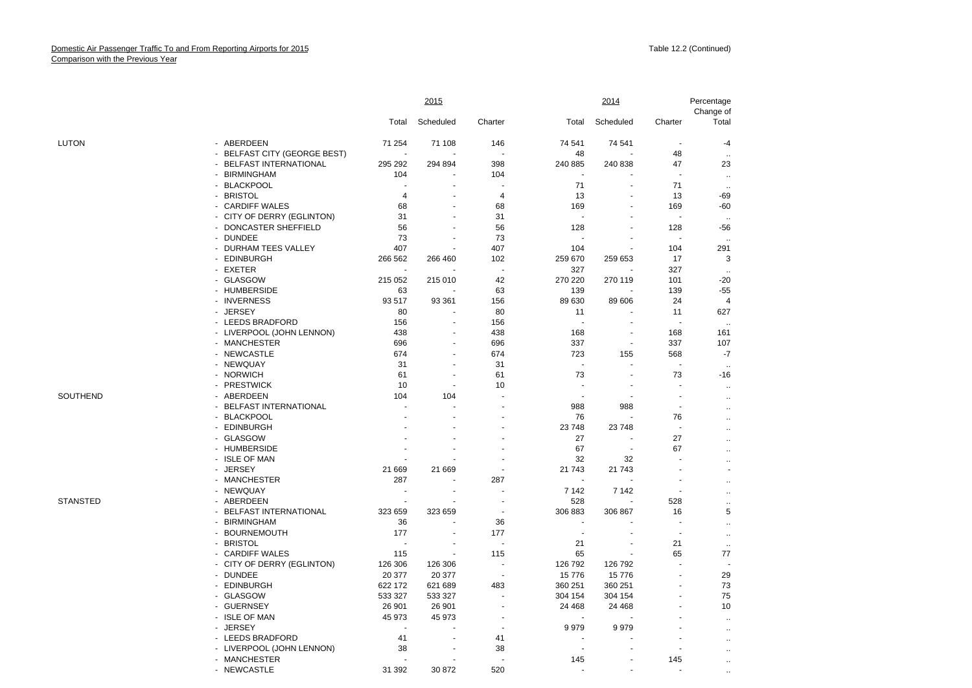|                 |                                            |                | 2015           |                          |                          | 2014      |                          | Percentage<br>Change of           |
|-----------------|--------------------------------------------|----------------|----------------|--------------------------|--------------------------|-----------|--------------------------|-----------------------------------|
|                 |                                            | Total          | Scheduled      | Charter                  | Total                    | Scheduled | Charter                  | Total                             |
| <b>LUTON</b>    | - ABERDEEN                                 | 71 254         | 71 108         | 146                      | 74 541                   | 74 541    | $\overline{\phantom{a}}$ | -4                                |
|                 | - BELFAST CITY (GEORGE BEST)               | $\overline{a}$ |                |                          | 48                       |           | 48                       | $\ddotsc$                         |
|                 | <b>BELFAST INTERNATIONAL</b>               | 295 292        | 294 894        | 398                      | 240 885                  | 240 838   | 47                       | 23                                |
|                 | - BIRMINGHAM                               | 104            |                | 104                      |                          |           |                          | $\cdot$ .                         |
|                 | <b>BLACKPOOL</b><br>$\blacksquare$         |                |                |                          | 71                       |           | 71                       | $\ddotsc$                         |
|                 | <b>BRISTOL</b><br>$\sim$                   | 4              |                | 4                        | 13                       |           | 13                       | -69                               |
|                 | <b>CARDIFF WALES</b><br>$\sim$             | 68             | $\sim$         | 68                       | 169                      |           | 169                      | $-60$                             |
|                 | CITY OF DERRY (EGLINTON)<br>$\blacksquare$ | 31             |                | 31                       |                          |           |                          | $\ddotsc$                         |
|                 | DONCASTER SHEFFIELD                        | 56             |                | 56                       | 128                      |           | 128                      | -56                               |
|                 | <b>DUNDEE</b><br>$\sim$                    | 73             |                | 73                       |                          |           |                          | $\ddot{\phantom{a}}$              |
|                 | - DURHAM TEES VALLEY                       | 407            |                | 407                      | 104                      |           | 104                      | 291                               |
|                 | - EDINBURGH                                | 266 562        | 266 460        | 102                      | 259 670                  | 259 653   | 17                       | 3                                 |
|                 | - EXETER                                   | $\sim$         |                |                          | 327                      |           | 327                      | $\ddotsc$                         |
|                 | <b>GLASGOW</b><br>$\blacksquare$           | 215 052        | 215 010        | 42                       | 270 220                  | 270 119   | 101                      | $-20$                             |
|                 | - HUMBERSIDE                               | 63             |                | 63                       | 139                      |           | 139                      | -55                               |
|                 | - INVERNESS                                | 93 517         | 93 361         | 156                      | 89 630                   | 89 606    | 24                       | $\overline{4}$                    |
|                 | <b>JERSEY</b><br>$\sim$                    | 80             |                | 80                       | 11                       |           | 11                       | 627                               |
|                 | - LEEDS BRADFORD                           | 156            |                | 156                      | $\overline{\phantom{a}}$ |           | ÷,                       |                                   |
|                 |                                            | 438            |                | 438                      | 168                      |           | 168                      | $\ddotsc$<br>161                  |
|                 | - LIVERPOOL (JOHN LENNON)<br>- MANCHESTER  | 696            |                | 696                      | 337                      |           | 337                      | 107                               |
|                 |                                            |                |                |                          |                          |           |                          |                                   |
|                 | - NEWCASTLE                                | 674            |                | 674                      | 723                      | 155       | 568<br>÷.                | $-7$                              |
|                 | - NEWQUAY                                  | 31             |                | 31                       |                          |           |                          | $\ddotsc$                         |
|                 | - NORWICH                                  | 61             |                | 61                       | 73                       |           | 73                       | -16                               |
|                 | - PRESTWICK                                | 10             | $\blacksquare$ | 10                       |                          |           |                          | $\ddotsc$                         |
| SOUTHEND        | ABERDEEN<br>$\sim$                         | 104            | 104            |                          | ä,                       |           | ä,                       | $\ddotsc$                         |
|                 | - BELFAST INTERNATIONAL                    |                |                |                          | 988                      | 988       | ÷,                       | $\ddotsc$                         |
|                 | <b>BLACKPOOL</b><br>$\sim$                 |                |                |                          | 76                       |           | 76                       | $\ddotsc$                         |
|                 | <b>EDINBURGH</b><br>$\sim$                 |                |                |                          | 23748                    | 23748     | $\sim$                   | $\ddotsc$                         |
|                 | - GLASGOW                                  |                |                | ä,                       | 27                       |           | 27                       | $\ddotsc$                         |
|                 | - HUMBERSIDE                               |                |                |                          | 67                       |           | 67                       | $\ddotsc$                         |
|                 | - ISLE OF MAN                              |                |                |                          | 32                       | 32        |                          | $\ddotsc$                         |
|                 | <b>JERSEY</b><br>$\blacksquare$            | 21 669         | 21 669         |                          | 21 743                   | 21 743    |                          |                                   |
|                 | - MANCHESTER                               | 287            |                | 287                      |                          |           |                          | $\ddotsc$                         |
|                 | - NEWQUAY                                  |                |                |                          | 7 1 4 2                  | 7 142     |                          | $\mathbf{r}$                      |
| <b>STANSTED</b> | - ABERDEEN                                 | ÷              |                | $\overline{\phantom{a}}$ | 528                      |           | 528                      | $\ddotsc$                         |
|                 | <b>BELFAST INTERNATIONAL</b>               | 323 659        | 323 659        | ä,                       | 306 883                  | 306 867   | 16                       | 5                                 |
|                 | - BIRMINGHAM                               | 36             |                | 36                       |                          |           |                          | $\ddotsc$                         |
|                 | <b>BOURNEMOUTH</b><br>$\sim$               | 177            | $\blacksquare$ | 177                      | ٠.                       |           | $\sim$                   | $\ddotsc$                         |
|                 | <b>BRISTOL</b><br>$\sim$                   |                |                |                          | 21                       |           | 21                       | $\ddotsc$                         |
|                 | <b>CARDIFF WALES</b><br>$\sim$             | 115            |                | 115                      | 65                       |           | 65                       | 77                                |
|                 | CITY OF DERRY (EGLINTON)<br>$\sim$         | 126 306        | 126 306        |                          | 126 792                  | 126 792   |                          |                                   |
|                 | <b>DUNDEE</b><br>$\sim$                    | 20 377         | 20 377         | $\ddot{\phantom{1}}$     | 15776                    | 15776     |                          | 29                                |
|                 | - EDINBURGH                                | 622 172        | 621 689        | 483                      | 360 251                  | 360 251   |                          | 73                                |
|                 | - GLASGOW                                  | 533 327        | 533 327        |                          | 304 154                  | 304 154   |                          | 75                                |
|                 | <b>GUERNSEY</b><br>$\sim$                  | 26 901         | 26 901         |                          | 24 4 68                  | 24 4 68   |                          | 10                                |
|                 | - ISLE OF MAN                              | 45 973         | 45 973         | ÷,                       |                          |           |                          |                                   |
|                 | <b>JERSEY</b><br>$\blacksquare$            |                |                |                          | 9979                     | 9979      |                          | $\ddotsc$<br>$\ddot{\phantom{a}}$ |
|                 | - LEEDS BRADFORD                           | 41             |                | 41                       |                          |           |                          |                                   |
|                 | - LIVERPOOL (JOHN LENNON)                  | 38             |                | 38                       |                          |           |                          | $\ddotsc$                         |
|                 | - MANCHESTER                               |                |                |                          | 145                      |           | 145                      | $\ddotsc$                         |
|                 |                                            |                |                | 520                      |                          |           |                          |                                   |
|                 | - NEWCASTLE                                | 31 392         | 30 872         |                          |                          |           |                          |                                   |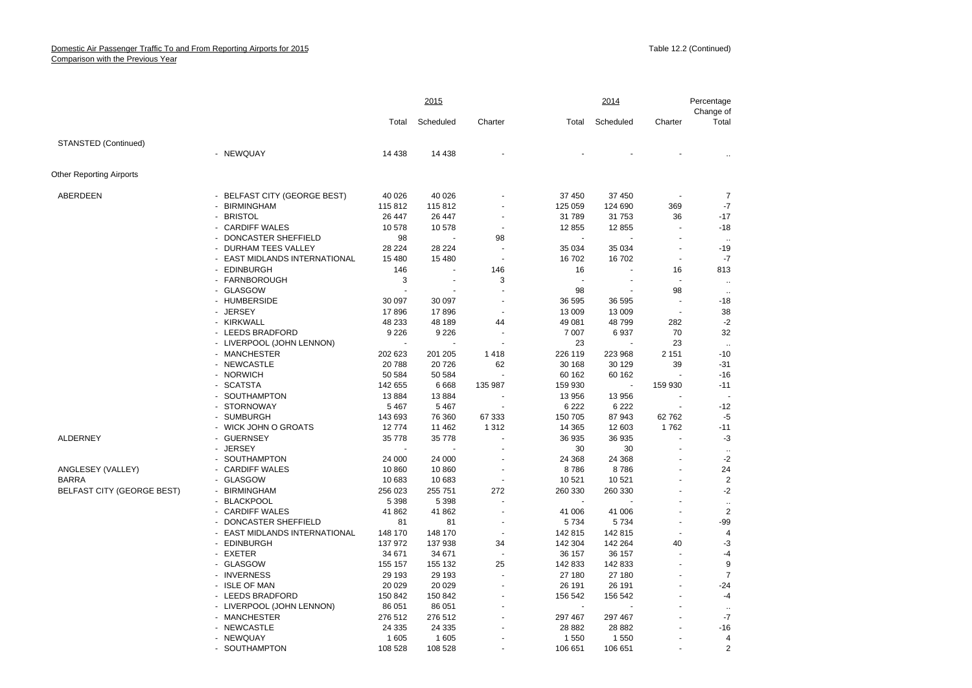|                                   |                                    |         | 2015      |                |         | 2014      |                      | Percentage<br>Change of |
|-----------------------------------|------------------------------------|---------|-----------|----------------|---------|-----------|----------------------|-------------------------|
|                                   |                                    | Total   | Scheduled | Charter        | Total   | Scheduled | Charter              | Total                   |
| STANSTED (Continued)              |                                    |         |           |                |         |           |                      |                         |
|                                   | - NEWQUAY                          | 14 4 38 | 14 4 38   |                |         |           |                      |                         |
| <b>Other Reporting Airports</b>   |                                    |         |           |                |         |           |                      |                         |
| ABERDEEN                          | - BELFAST CITY (GEORGE BEST)       | 40 0 26 | 40 0 26   |                | 37 450  | 37 450    |                      | 7                       |
|                                   | <b>BIRMINGHAM</b>                  | 115 812 | 115812    |                | 125 059 | 124 690   | 369                  | $-7$                    |
|                                   | - BRISTOL                          | 26 447  | 26 447    |                | 31789   | 31 753    | 36                   | $-17$                   |
|                                   | - CARDIFF WALES                    | 10578   | 10578     |                | 12855   | 12855     | ÷,                   | $-18$                   |
|                                   | DONCASTER SHEFFIELD                | 98      |           | 98             |         |           |                      | $\ddotsc$               |
|                                   | - DURHAM TEES VALLEY               | 28 224  | 28 2 24   |                | 35 0 34 | 35 0 34   | $\sim$               | $-19$                   |
|                                   | <b>EAST MIDLANDS INTERNATIONAL</b> | 15 4 80 | 15 4 80   |                | 16702   | 16702     | $\blacksquare$       | $-7$                    |
|                                   | - EDINBURGH                        | 146     |           | 146            | 16      |           | 16                   | 813                     |
|                                   | - FARNBOROUGH                      | 3       |           | 3              |         |           |                      | $\ddotsc$               |
|                                   | - GLASGOW                          |         |           |                | 98      |           | 98                   | $\cdot$ .               |
|                                   | - HUMBERSIDE                       | 30 097  | 30 097    | ä,             | 36 595  | 36 595    | ÷,                   | $-18$                   |
|                                   | - JERSEY                           | 17896   | 17896     |                | 13 009  | 13 009    | $\sim$               | 38                      |
|                                   | - KIRKWALL                         | 48 233  | 48 189    | 44             | 49 081  | 48799     | 282                  | $-2$                    |
|                                   | - LEEDS BRADFORD                   | 9 2 2 6 | 9 2 2 6   |                | 7 0 0 7 | 6937      | 70                   | 32                      |
|                                   | - LIVERPOOL (JOHN LENNON)          |         |           |                | 23      |           | 23                   | $\cdot$ .               |
|                                   | - MANCHESTER                       | 202 623 | 201 205   | 1418           | 226 119 | 223 968   | 2 1 5 1              | $-10$                   |
|                                   | - NEWCASTLE                        | 20788   | 20726     | 62             | 30 168  | 30 129    | 39                   | $-31$                   |
|                                   | - NORWICH                          | 50 584  | 50 584    |                | 60 162  | 60 162    |                      | $-16$                   |
|                                   | - SCATSTA                          | 142 655 | 6668      | 135 987        | 159 930 |           | 159 930              | $-11$                   |
|                                   | - SOUTHAMPTON                      | 13884   | 13884     |                | 13 956  | 13 956    |                      |                         |
|                                   | - STORNOWAY                        | 5 4 6 7 | 5 4 6 7   |                | 6 2 2 2 | 6 2 2 2   |                      | $-12$                   |
|                                   | - SUMBURGH                         | 143 693 | 76 360    | 67 333         | 150 705 | 87 943    | 62762                | $-5$                    |
|                                   | - WICK JOHN O GROATS               | 12774   | 11 462    | 1 3 1 2        | 14 3 65 | 12 603    | 1762                 | $-11$                   |
| ALDERNEY                          | - GUERNSEY                         | 35 778  | 35 7 78   |                | 36 935  | 36 935    | $\ddot{\phantom{1}}$ | -3                      |
|                                   | - JERSEY                           |         |           |                | 30      | 30        | $\ddot{\phantom{1}}$ | $\ddotsc$               |
|                                   | - SOUTHAMPTON                      | 24 000  | 24 000    |                | 24 3 68 | 24 3 68   |                      | $-2$                    |
| ANGLESEY (VALLEY)                 | - CARDIFF WALES                    | 10860   | 10860     | ÷,             | 8786    | 8786      |                      | 24                      |
| <b>BARRA</b>                      | - GLASGOW                          | 10 683  | 10 683    | $\blacksquare$ | 10 5 21 | 10 521    |                      | $\overline{2}$          |
| <b>BELFAST CITY (GEORGE BEST)</b> | - BIRMINGHAM                       | 256 023 | 255 751   | 272            | 260 330 | 260 330   |                      | $-2$                    |
|                                   | - BLACKPOOL                        | 5 3 9 8 | 5 3 9 8   |                |         |           |                      | $\ddotsc$               |
|                                   | - CARDIFF WALES                    | 41 862  | 41 862    |                | 41 006  | 41 006    |                      | $\overline{2}$          |
|                                   | - DONCASTER SHEFFIELD              | 81      | 81        | $\blacksquare$ | 5 7 3 4 | 5734      | $\sim$               | $-99$                   |
|                                   | EAST MIDLANDS INTERNATIONAL        | 148 170 | 148 170   |                | 142 815 | 142 815   | $\sim$               | $\overline{4}$          |
|                                   | - EDINBURGH                        | 137 972 | 137 938   | 34             | 142 304 | 142 264   | 40                   | $-3$                    |
|                                   | - EXETER                           | 34 671  | 34 671    |                | 36 157  | 36 157    | $\ddot{\phantom{1}}$ | -4                      |
|                                   | - GLASGOW                          | 155 157 | 155 132   | 25             | 142 833 | 142 833   |                      | 9                       |
|                                   | - INVERNESS                        | 29 193  | 29 193    |                | 27 180  | 27 180    |                      | $\overline{7}$          |
|                                   | - ISLE OF MAN                      | 20 0 29 | 20 0 29   |                | 26 191  | 26 191    |                      | $-24$                   |
|                                   | - LEEDS BRADFORD                   | 150 842 | 150 842   |                | 156 542 | 156 542   |                      | -4                      |
|                                   | - LIVERPOOL (JOHN LENNON)          | 86 051  | 86 051    |                |         |           |                      | $\ddotsc$               |
|                                   | - MANCHESTER                       | 276 512 | 276 512   |                | 297 467 | 297 467   |                      | $-7$                    |
|                                   | - NEWCASTLE                        | 24 3 35 | 24 3 35   |                | 28 8 82 | 28 8 82   |                      | $-16$                   |
|                                   | - NEWQUAY                          | 1605    | 1 605     |                | 1 5 5 0 | 1550      |                      | $\overline{4}$          |
|                                   | - SOLITHAMPTON                     | 108 528 | 108 528   |                | 106 651 | 106 651   |                      | $\mathcal{P}$           |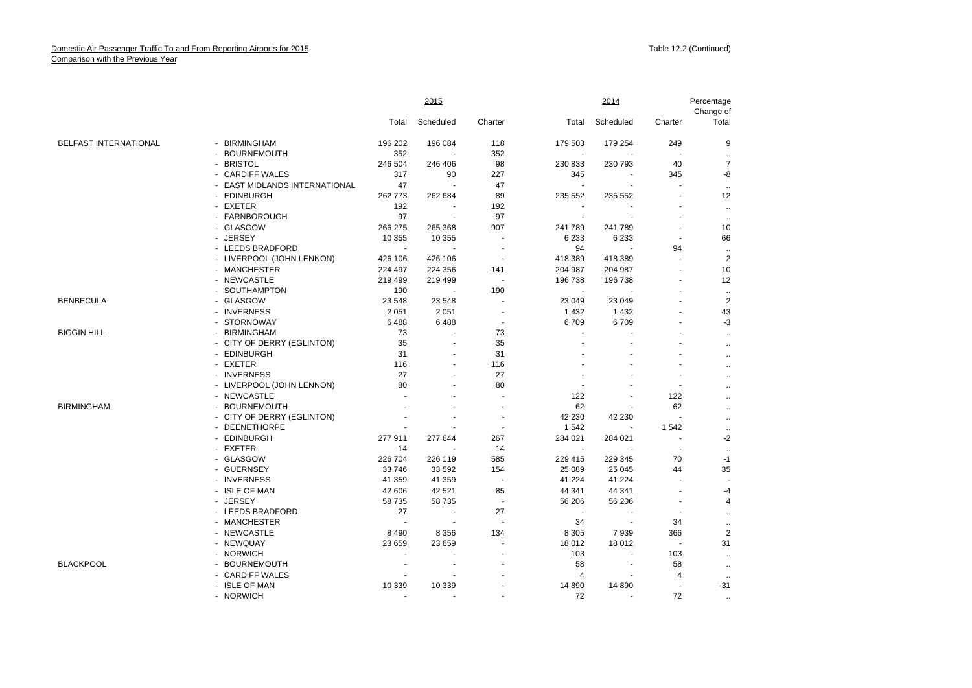|                       |                               |         | 2015           |                          |                          | 2014      |                | Percentage<br>Change of |
|-----------------------|-------------------------------|---------|----------------|--------------------------|--------------------------|-----------|----------------|-------------------------|
|                       |                               | Total   | Scheduled      | Charter                  | Total                    | Scheduled | Charter        | Total                   |
| BELFAST INTERNATIONAL | - BIRMINGHAM                  | 196 202 | 196 084        | 118                      | 179 503                  | 179 254   | 249            | 9                       |
|                       | - BOURNEMOUTH                 | 352     | ÷,             | 352                      | $\sim$                   |           |                |                         |
|                       | - BRISTOL                     | 246 504 | 246 406        | 98                       | 230 833                  | 230 793   | 40             | $\overline{7}$          |
|                       | - CARDIFF WALES               | 317     | 90             | 227                      | 345                      | $\sim$    | 345            | -8                      |
|                       | - EAST MIDLANDS INTERNATIONAL | 47      | ÷.             | 47                       | $\overline{\phantom{a}}$ |           |                | $\ldots$                |
|                       | - EDINBURGH                   | 262773  | 262 684        | 89                       | 235 552                  | 235 552   |                | 12                      |
|                       | - EXETER                      | 192     |                | 192                      | $\sim$                   |           |                | $\ldots$                |
|                       | - FARNBOROUGH                 | 97      | $\overline{a}$ | 97                       | $\overline{\phantom{a}}$ |           |                | $\ddot{\phantom{a}}$    |
|                       | - GLASGOW                     | 266 275 | 265 368        | 907                      | 241 789                  | 241 789   |                | 10                      |
|                       | - JERSEY                      | 10 355  | 10 355         |                          | 6 2 3 3                  | 6 2 3 3   |                | 66                      |
|                       | - LEEDS BRADFORD              | $\sim$  | $\blacksquare$ | $\sim$                   | 94                       | ÷.        | 94             | $\cdot$ .               |
|                       | - LIVERPOOL (JOHN LENNON)     | 426 106 | 426 106        | $\sim$                   | 418 389                  | 418 389   |                | $\overline{2}$          |
|                       | - MANCHESTER                  | 224 497 | 224 356        | 141                      | 204 987                  | 204 987   |                | 10                      |
|                       | - NEWCASTLE                   | 219 499 | 219 499        | $\sim$                   | 196 738                  | 196 738   |                | 12                      |
|                       | - SOUTHAMPTON                 | 190     | $\blacksquare$ | 190                      | $\mathbf{r}$             |           |                | $\ddotsc$               |
| <b>BENBECULA</b>      | - GLASGOW                     | 23 548  | 23 548         | $\sim$                   | 23 049                   | 23 049    |                | $\overline{2}$          |
|                       | - INVERNESS                   | 2 0 5 1 | 2 0 5 1        | ÷,                       | 1 4 3 2                  | 1 4 3 2   |                | 43                      |
|                       | - STORNOWAY                   | 6488    | 6488           | $\overline{\phantom{a}}$ | 6709                     | 6709      | $\sim$         | $-3$                    |
| <b>BIGGIN HILL</b>    | - BIRMINGHAM                  | 73      |                | 73                       |                          |           |                | $\ddot{\phantom{1}}$    |
|                       | - CITY OF DERRY (EGLINTON)    | 35      | $\blacksquare$ | 35                       |                          |           |                | $\ddot{\phantom{1}}$    |
|                       | - EDINBURGH                   | 31      |                | 31                       |                          |           |                | $\ddotsc$               |
|                       | - EXETER                      | 116     | $\sim$         | 116                      |                          |           |                | $\ddot{\phantom{a}}$    |
|                       | - INVERNESS                   | 27      | $\blacksquare$ | 27                       |                          |           |                | $\ddotsc$               |
|                       | - LIVERPOOL (JOHN LENNON)     | 80      |                | 80                       |                          |           |                |                         |
|                       | - NEWCASTLE                   |         |                | ÷.                       | 122                      |           | 122            | $\ddotsc$               |
| <b>BIRMINGHAM</b>     | - BOURNEMOUTH                 |         |                | $\sim$                   | 62                       |           | 62             | $\ddot{\phantom{a}}$    |
|                       | - CITY OF DERRY (EGLINTON)    |         |                | $\overline{\phantom{a}}$ | 42 230                   | 42 230    | $\sim$         | $\ddot{\phantom{1}}$    |
|                       | - DEENETHORPE                 |         |                | $\sim$                   | 1542                     |           | 1542           | $\ldots$                |
|                       | - EDINBURGH                   | 277 911 | 277 644        | 267                      | 284 021                  | 284 021   | $\sim$         | -2                      |
|                       | - EXETER                      | 14      |                | 14                       | $\blacksquare$           |           | $\sim$         | $\ddotsc$               |
|                       | - GLASGOW                     | 226 704 | 226 119        | 585                      | 229 415                  | 229 345   | 70             | $-1$                    |
|                       | - GUERNSEY                    | 33746   | 33 592         | 154                      | 25 089                   | 25 045    | 44             | 35                      |
|                       | - INVERNESS                   | 41 359  | 41 359         | $\sim$                   | 41 224                   | 41 2 24   |                |                         |
|                       | - ISLE OF MAN                 | 42 606  | 42 5 21        | 85                       | 44 341                   | 44 341    | $\sim$         | -4                      |
|                       | - JERSEY                      | 58 735  | 58 735         | $\blacksquare$           | 56 206                   | 56 206    |                | 4                       |
|                       | - LEEDS BRADFORD              | 27      | $\blacksquare$ | 27                       | ÷.                       |           | $\sim$         | $\ddot{\phantom{a}}$    |
|                       | - MANCHESTER                  |         | ÷,             | $\sim$                   | 34                       | ÷.        | 34             | $\ddotsc$               |
|                       | - NEWCASTLE                   | 8 4 9 0 | 8 3 5 6        | 134                      | 8 3 0 5                  | 7939      | 366            | $\overline{2}$          |
|                       | - NEWQUAY                     | 23 659  | 23 659         | ÷,                       | 18 012                   | 18 012    | $\blacksquare$ | 31                      |
|                       | - NORWICH                     |         |                |                          | 103                      |           | 103            | $\ldots$                |
| <b>BLACKPOOL</b>      | - BOURNEMOUTH                 |         | $\sim$         | $\overline{a}$           | 58                       | $\sim$    | 58             | $\ldots$                |
|                       | - CARDIFF WALES               |         |                |                          | 4                        |           | 4              | $\ddotsc$               |
|                       | - ISLE OF MAN                 | 10 339  | 10 339         |                          | 14 8 90                  | 14 8 90   | ÷.             | $-31$                   |
|                       | - NORWICH                     |         |                |                          | 72                       |           | 72             | $\ldots$                |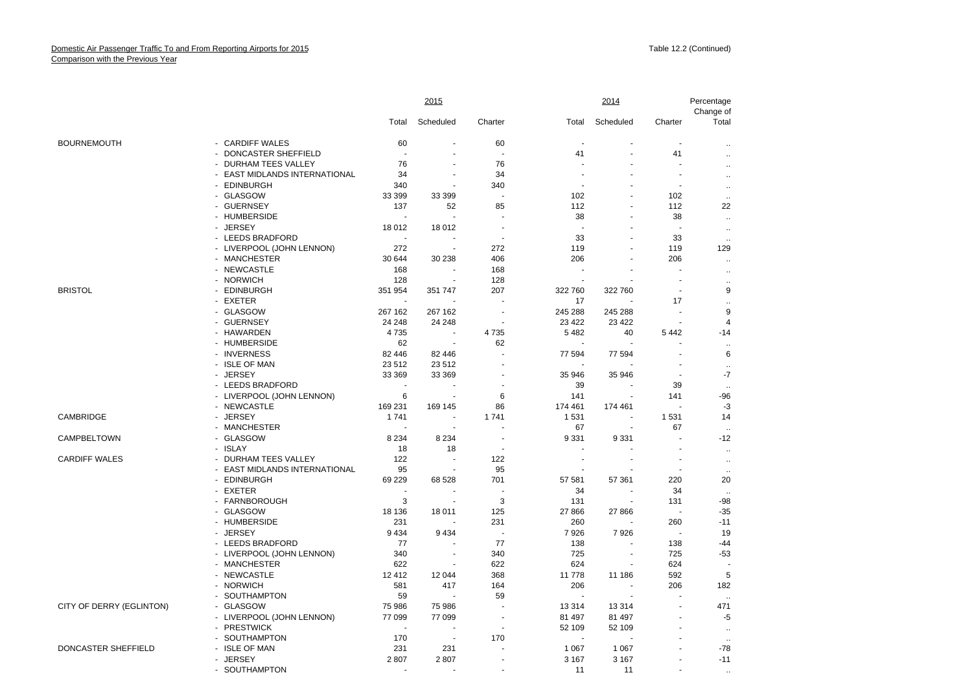|                          |                               |                | 2015                     |                          |                          | 2014                     |         | Percentage<br>Change of |
|--------------------------|-------------------------------|----------------|--------------------------|--------------------------|--------------------------|--------------------------|---------|-------------------------|
|                          |                               | Total          | Scheduled                | Charter                  | Total                    | Scheduled                | Charter | Total                   |
| <b>BOURNEMOUTH</b>       | - CARDIFF WALES               | 60             |                          | 60                       |                          |                          |         | $\ldots$                |
|                          | - DONCASTER SHEFFIELD         | $\overline{a}$ | $\blacksquare$           | $\sim$                   | 41                       | $\sim$                   | 41      |                         |
|                          | - DURHAM TEES VALLEY          | 76             |                          | 76                       |                          |                          |         |                         |
|                          | - EAST MIDLANDS INTERNATIONAL | 34             |                          | 34                       |                          |                          | $\sim$  | $\ddotsc$               |
|                          | - EDINBURGH                   | 340            | ÷,                       | 340                      |                          |                          | $\sim$  |                         |
|                          | - GLASGOW                     | 33 399         | 33 399                   | $\sim$                   | 102                      |                          | 102     | $\ldots$                |
|                          | - GUERNSEY                    | 137            | 52                       | 85                       | 112                      | ä,                       | 112     | $\ddotsc$<br>22         |
|                          | - HUMBERSIDE                  |                |                          |                          | 38                       |                          | 38      |                         |
|                          |                               |                |                          |                          |                          |                          | $\sim$  | $\ddotsc$               |
|                          | - JERSEY                      | 18 012         | 18 0 12                  |                          |                          |                          |         | $\ddot{\phantom{1}}$    |
|                          | - LEEDS BRADFORD              | $\sim$         | $\overline{\phantom{a}}$ | $\blacksquare$           | 33                       |                          | 33      |                         |
|                          | - LIVERPOOL (JOHN LENNON)     | 272            | $\sim$                   | 272                      | 119                      |                          | 119     | 129                     |
|                          | - MANCHESTER                  | 30 644         | 30 238                   | 406                      | 206                      |                          | 206     | $\ddotsc$               |
|                          | - NEWCASTLE                   | 168            | $\sim$                   | 168                      | ÷.                       |                          | ÷.      | $\ddotsc$               |
|                          | - NORWICH                     | 128            |                          | 128                      |                          |                          |         |                         |
| <b>BRISTOL</b>           | - EDINBURGH                   | 351 954        | 351 747                  | 207                      | 322 760                  | 322 760                  | $\sim$  | 9                       |
|                          | - EXETER                      |                |                          |                          | 17                       |                          | 17      | $\ddotsc$               |
|                          | - GLASGOW                     | 267 162        | 267 162                  | ÷.                       | 245 288                  | 245 288                  | ÷.      | 9                       |
|                          | - GUERNSEY                    | 24 248         | 24 248                   | $\overline{\phantom{a}}$ | 23 4 22                  | 23 4 22                  |         | $\overline{4}$          |
|                          | - HAWARDEN                    | 4735           |                          | 4735                     | 5482                     | 40                       | 5442    | $-14$                   |
|                          | - HUMBERSIDE                  | 62             | $\sim$                   | 62                       | $\sim$                   |                          |         | $\ddotsc$               |
|                          | - INVERNESS                   | 82 446         | 82 446                   |                          | 77 594                   | 77 594                   |         | 6                       |
|                          | - ISLE OF MAN                 | 23512          | 23 5 12                  |                          |                          |                          |         | $\ddotsc$               |
|                          | - JERSEY                      | 33 369         | 33 369                   |                          | 35 946                   | 35 946                   | $\sim$  | $-7$                    |
|                          | - LEEDS BRADFORD              | $\overline{a}$ | $\sim$                   | $\sim$                   | 39                       |                          | 39      | $\sim$                  |
|                          | - LIVERPOOL (JOHN LENNON)     | 6              | $\blacksquare$           | 6                        | 141                      | $\sim$                   | 141     | -96                     |
|                          | - NEWCASTLE                   | 169 231        | 169 145                  | 86                       | 174 461                  | 174 461                  | $\sim$  | $-3$                    |
| <b>CAMBRIDGE</b>         | - JERSEY                      | 1741           | $\blacksquare$           | 1741                     | 1531                     |                          | 1 5 3 1 | 14                      |
|                          | - MANCHESTER                  |                | $\sim$                   |                          | 67                       | $\sim$                   | 67      |                         |
| CAMPBELTOWN              | - GLASGOW                     | 8 2 3 4        | 8 2 3 4                  | $\blacksquare$           | 9 3 3 1                  | 9 3 3 1                  |         | $-12$                   |
|                          | - ISLAY                       | 18             | 18                       | $\sim$                   |                          |                          | ÷.      |                         |
| <b>CARDIFF WALES</b>     | - DURHAM TEES VALLEY          | 122            |                          | 122                      |                          |                          |         | $\ddotsc$               |
|                          | - EAST MIDLANDS INTERNATIONAL | 95             | $\blacksquare$           | 95                       |                          |                          | $\sim$  | $\ddotsc$               |
|                          | - EDINBURGH                   | 69 229         | 68 528                   | 701                      | 57 581                   | 57 361                   | 220     | $\ddotsc$<br>20         |
|                          |                               |                |                          |                          |                          |                          |         |                         |
|                          | - EXETER                      | 3              |                          |                          | 34                       | $\overline{\phantom{a}}$ | 34      |                         |
|                          | - FARNBOROUGH                 |                | $\overline{\phantom{a}}$ | 3                        | 131                      |                          | 131     | $-98$                   |
|                          | - GLASGOW                     | 18 136         | 18 011                   | 125                      | 27 866                   | 27 866                   | $\sim$  | $-35$                   |
|                          | - HUMBERSIDE                  | 231            |                          | 231                      | 260                      |                          | 260     | $-11$                   |
|                          | - JERSEY                      | 9 4 3 4        | 9434                     | $\sim$                   | 7926                     | 7926                     |         | 19                      |
|                          | - LEEDS BRADFORD              | 77             | $\overline{a}$           | 77                       | 138                      |                          | 138     | -44                     |
|                          | - LIVERPOOL (JOHN LENNON)     | 340            | $\sim$                   | 340                      | 725                      | ÷.                       | 725     | -53                     |
|                          | - MANCHESTER                  | 622            |                          | 622                      | 624                      |                          | 624     |                         |
|                          | - NEWCASTLE                   | 12 4 12        | 12 044                   | 368                      | 11 778                   | 11 186                   | 592     | 5                       |
|                          | - NORWICH                     | 581            | 417                      | 164                      | 206                      | $\sim$                   | 206     | 182                     |
|                          | - SOUTHAMPTON                 | 59             |                          | 59                       | $\overline{\phantom{a}}$ |                          |         |                         |
| CITY OF DERRY (EGLINTON) | - GLASGOW                     | 75 986         | 75 986                   | ÷.                       | 13314                    | 13 3 14                  |         | 471                     |
|                          | - LIVERPOOL (JOHN LENNON)     | 77 099         | 77 099                   |                          | 81 497                   | 81 497                   |         | -5                      |
|                          | - PRESTWICK                   |                | ÷.                       | $\sim$                   | 52 109                   | 52 109                   |         | $\ddotsc$               |
|                          | - SOUTHAMPTON                 | 170            | $\blacksquare$           | 170                      |                          |                          |         |                         |
| DONCASTER SHEFFIELD      | - ISLE OF MAN                 | 231            | 231                      |                          | 1 0 6 7                  | 1 0 6 7                  |         | $-78$                   |
|                          | - JERSEY                      | 2807           | 2807                     | $\sim$                   | 3 1 6 7                  | 3 1 6 7                  |         | $-11$                   |
|                          | - SOUTHAMPTON                 |                |                          |                          | 11                       | 11                       |         |                         |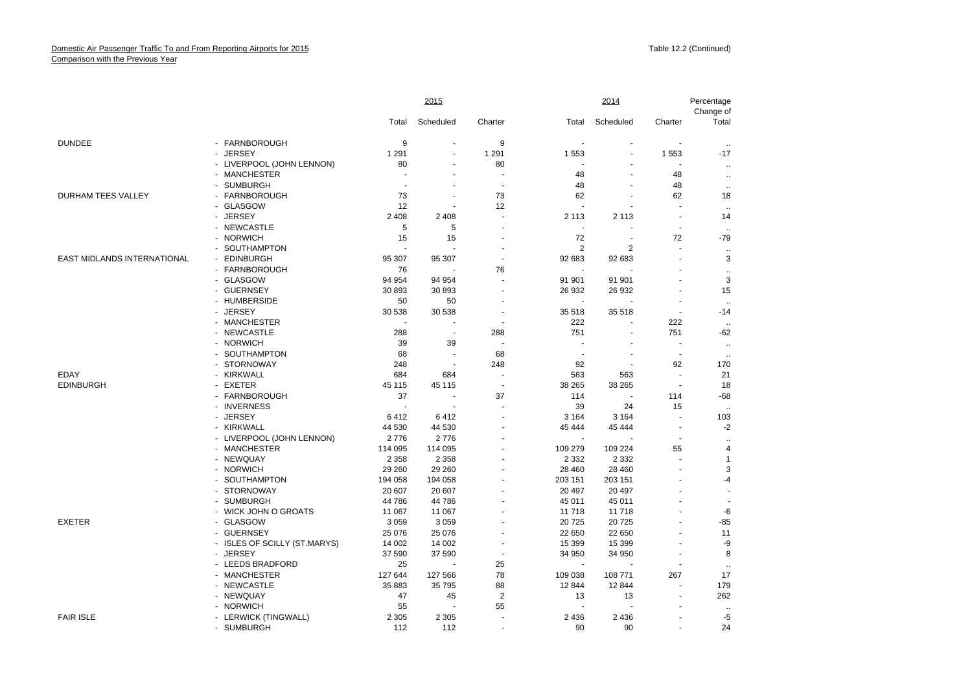|                             |                              |                          | 2015                 |                       |                          | 2014         |                                                                                                                                                                                                                                                                                                             | Percentage<br>Change of |
|-----------------------------|------------------------------|--------------------------|----------------------|-----------------------|--------------------------|--------------|-------------------------------------------------------------------------------------------------------------------------------------------------------------------------------------------------------------------------------------------------------------------------------------------------------------|-------------------------|
|                             |                              | Total                    | Scheduled            | Charter               | Total                    | Scheduled    | Charter                                                                                                                                                                                                                                                                                                     | Total                   |
| <b>DUNDEE</b>               | - FARNBOROUGH                | 9                        | $\blacksquare$       | 9                     |                          | $\mathbf{r}$ | $\sim$                                                                                                                                                                                                                                                                                                      | $\ddotsc$               |
|                             | - JERSEY                     | 1 2 9 1                  | L.                   | 1 2 9 1               | 1553                     |              | 1 5 5 3<br>$\overline{\phantom{a}}$<br>48<br>48<br>62<br>ä,<br>$\sim$<br>$\sim$<br>72<br>ä,<br>ä,<br>$\sim$<br>222<br>751<br>$\sim$<br>$\sim$<br>92<br>$\sim$<br>$\sim$<br>114<br>15<br>$\sim$<br>$\sim$<br>÷.<br>55<br>$\ddot{\phantom{1}}$<br>$\overline{\phantom{a}}$<br>ä,<br>$\ddot{\phantom{1}}$<br>÷ | $-17$                   |
|                             | - LIVERPOOL (JOHN LENNON)    | 80                       | $\blacksquare$       | 80                    |                          |              |                                                                                                                                                                                                                                                                                                             | $\ddotsc$               |
|                             | - MANCHESTER                 | $\overline{\phantom{a}}$ |                      | $\sim$                | 48                       |              |                                                                                                                                                                                                                                                                                                             | $\ddotsc$               |
|                             | - SUMBURGH                   |                          |                      | $\tilde{\phantom{a}}$ | 48                       | ä,           |                                                                                                                                                                                                                                                                                                             | $\ddotsc$               |
| <b>DURHAM TEES VALLEY</b>   | - FARNBOROUGH                | 73                       |                      | 73                    | 62                       |              |                                                                                                                                                                                                                                                                                                             | 18                      |
|                             | - GLASGOW                    | 12                       | ä,                   | 12                    | ÷.                       |              |                                                                                                                                                                                                                                                                                                             | $\ddotsc$               |
|                             | - JERSEY                     | 2 4 0 8                  | 2 4 0 8              | $\sim$                | 2 1 1 3                  | 2 1 1 3      |                                                                                                                                                                                                                                                                                                             | 14                      |
|                             | - NEWCASTLE                  | 5                        | 5                    |                       | $\overline{\phantom{a}}$ |              |                                                                                                                                                                                                                                                                                                             | $\sim$                  |
|                             | - NORWICH                    | 15                       | 15                   |                       | 72                       | ÷.           |                                                                                                                                                                                                                                                                                                             | $-79$                   |
|                             | - SOUTHAMPTON                |                          |                      |                       | 2                        | 2            |                                                                                                                                                                                                                                                                                                             | $\ddotsc$               |
| EAST MIDLANDS INTERNATIONAL | <b>EDINBURGH</b>             | 95 307                   | 95 307               |                       | 92 683                   | 92 683       |                                                                                                                                                                                                                                                                                                             | 3                       |
|                             | - FARNBOROUGH                | 76                       |                      | 76                    |                          |              |                                                                                                                                                                                                                                                                                                             | $\ddot{\phantom{1}}$    |
|                             | - GLASGOW                    | 94 954                   | 94 954               |                       | 91 901                   | 91 901       |                                                                                                                                                                                                                                                                                                             | 3                       |
|                             | - GUERNSEY                   | 30 893                   | 30 893               |                       | 26 932                   | 26 932       |                                                                                                                                                                                                                                                                                                             | 15                      |
|                             | - HUMBERSIDE                 | 50                       | 50                   |                       | $\mathbf{r}$             |              |                                                                                                                                                                                                                                                                                                             | $\ddot{\phantom{a}}$    |
|                             | - JERSEY                     | 30 538                   | 30 538               |                       | 35 518                   | 35 518       |                                                                                                                                                                                                                                                                                                             | $-14$                   |
|                             | - MANCHESTER                 |                          | ÷,                   | $\sim$                | 222                      |              |                                                                                                                                                                                                                                                                                                             | $\ddotsc$               |
|                             | - NEWCASTLE                  | 288                      | $\sim$               | 288                   | 751                      |              |                                                                                                                                                                                                                                                                                                             | $-62$                   |
|                             | - NORWICH                    | 39                       | 39                   | $\sim$                |                          |              |                                                                                                                                                                                                                                                                                                             | $\sim$                  |
|                             | - SOUTHAMPTON                | 68                       | $\ddot{\phantom{1}}$ | 68                    | $\overline{a}$           |              |                                                                                                                                                                                                                                                                                                             | $\ddotsc$               |
|                             | - STORNOWAY                  | 248                      | ÷,                   | 248                   | 92                       | ÷.           |                                                                                                                                                                                                                                                                                                             | 170                     |
| <b>EDAY</b>                 | - KIRKWALL                   | 684                      | 684                  | ÷.                    | 563                      | 563          |                                                                                                                                                                                                                                                                                                             | 21                      |
| <b>EDINBURGH</b>            | - EXETER                     | 45 115                   | 45 115               | $\sim$                | 38 265                   | 38 265       |                                                                                                                                                                                                                                                                                                             | 18                      |
|                             | - FARNBOROUGH                | 37                       | $\blacksquare$       | 37                    | 114                      |              |                                                                                                                                                                                                                                                                                                             | $-68$                   |
|                             | - INVERNESS                  | ÷,                       | ÷.                   |                       | 39                       | 24           |                                                                                                                                                                                                                                                                                                             | $\sim$                  |
|                             | - JERSEY                     | 6412                     | 6412                 |                       | 3 1 6 4                  | 3 1 6 4      |                                                                                                                                                                                                                                                                                                             | 103                     |
|                             | - KIRKWALL                   | 44 530                   | 44 530               |                       | 45 444                   | 45 444       |                                                                                                                                                                                                                                                                                                             | $-2$                    |
|                             | - LIVERPOOL (JOHN LENNON)    | 2776                     | 2776                 |                       |                          |              |                                                                                                                                                                                                                                                                                                             | $\mathbf{r}$ .          |
|                             | - MANCHESTER                 | 114 095                  | 114 095              |                       | 109 279                  | 109 224      |                                                                                                                                                                                                                                                                                                             | $\overline{4}$          |
|                             | - NEWQUAY                    | 2 3 5 8                  | 2 3 5 8              |                       | 2 3 3 2                  | 2 3 3 2      |                                                                                                                                                                                                                                                                                                             | $\mathbf{1}$            |
|                             | - NORWICH                    | 29 260                   | 29 260               |                       | 28 460                   | 28 460       |                                                                                                                                                                                                                                                                                                             | 3                       |
|                             | - SOUTHAMPTON                | 194 058                  | 194 058              |                       | 203 151                  | 203 151      |                                                                                                                                                                                                                                                                                                             | $-4$                    |
|                             | - STORNOWAY                  | 20 607                   | 20 607               |                       | 20 497                   | 20 497       |                                                                                                                                                                                                                                                                                                             |                         |
|                             | - SUMBURGH                   | 44786                    | 44786                |                       | 45 011                   | 45 011       |                                                                                                                                                                                                                                                                                                             |                         |
|                             | - WICK JOHN O GROATS         | 11 067                   | 11 067               |                       | 11 718                   | 11718        |                                                                                                                                                                                                                                                                                                             | $-6$                    |
| <b>EXETER</b>               | - GLASGOW                    | 3059                     | 3 0 5 9              |                       | 20725                    | 20725        |                                                                                                                                                                                                                                                                                                             | $-85$                   |
|                             | - GUERNSEY                   | 25 0 76                  | 25 0 76              |                       | 22 650                   | 22 650       |                                                                                                                                                                                                                                                                                                             | 11                      |
|                             | - ISLES OF SCILLY (ST.MARYS) | 14 002                   | 14 002               |                       | 15 399                   | 15 3 9 9     |                                                                                                                                                                                                                                                                                                             | -9                      |
|                             | - JERSEY                     | 37 590                   | 37 590               | $\sim$                | 34 950                   | 34 950       |                                                                                                                                                                                                                                                                                                             | 8                       |
|                             | - LEEDS BRADFORD             | 25                       |                      | 25                    | $\sim$                   |              |                                                                                                                                                                                                                                                                                                             | $\ddotsc$               |
|                             | - MANCHESTER                 | 127 644                  | 127 566              | 78                    | 109 038                  | 108 771      | 267                                                                                                                                                                                                                                                                                                         | 17                      |
|                             | - NEWCASTLE                  | 35 883                   | 35 795               | 88                    | 12 844                   | 12 844       | $\overline{\phantom{a}}$                                                                                                                                                                                                                                                                                    | 179                     |
|                             | - NEWQUAY                    | 47                       | 45                   | $\overline{2}$        | 13                       | 13           | ÷.                                                                                                                                                                                                                                                                                                          | 262                     |
|                             | - NORWICH                    | 55                       |                      | 55                    |                          |              |                                                                                                                                                                                                                                                                                                             |                         |
| <b>FAIR ISLE</b>            | - LERWICK (TINGWALL)         | 2 3 0 5                  | 2 3 0 5              |                       | 2 4 3 6                  | 2 4 3 6      |                                                                                                                                                                                                                                                                                                             | $-5$                    |
|                             | - SUMBURGH                   | 112                      | 112                  |                       | 90                       | 90           |                                                                                                                                                                                                                                                                                                             | 24                      |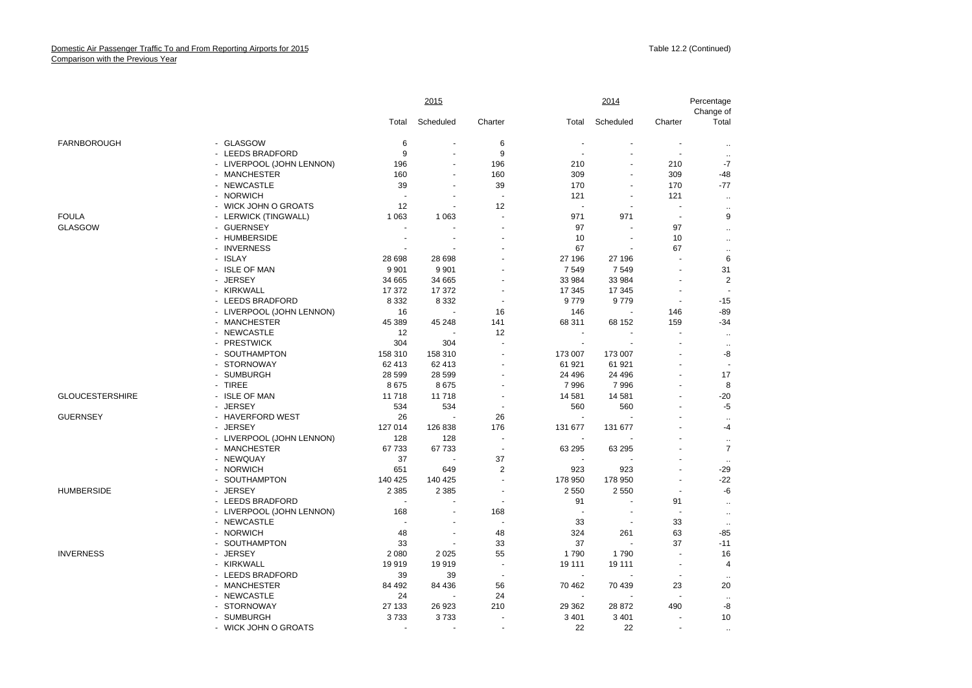|                        |                           |                          | 2015                 |                          |                | 2014           |                          | Percentage<br>Change of  |
|------------------------|---------------------------|--------------------------|----------------------|--------------------------|----------------|----------------|--------------------------|--------------------------|
|                        |                           | Total                    | Scheduled            | Charter                  | Total          | Scheduled      | Charter                  | Total                    |
| <b>FARNBOROUGH</b>     | - GLASGOW                 | 6                        | $\overline{a}$       | 6                        |                |                | ÷,                       |                          |
|                        | - LEEDS BRADFORD          | 9                        | ÷.                   | 9                        |                |                | ÷,                       |                          |
|                        | - LIVERPOOL (JOHN LENNON) | 196                      |                      | 196                      | 210            |                | 210                      | $-7$                     |
|                        | - MANCHESTER              | 160                      | $\ddot{\phantom{1}}$ | 160                      | 309            |                | 309                      | $-48$                    |
|                        | - NEWCASTLE               | 39                       | ÷.                   | 39                       | 170            |                | 170                      | $-77$                    |
|                        | - NORWICH                 | ÷.                       | $\overline{a}$       | $\tilde{\phantom{a}}$    | 121            |                | 121                      | $\sim$                   |
|                        | - WICK JOHN O GROATS      | 12                       | $\blacksquare$       | 12                       | $\sim$         |                | $\overline{a}$           | $\ldots$                 |
| <b>FOULA</b>           | - LERWICK (TINGWALL)      | 1 0 6 3                  | 1 0 6 3              |                          | 971            | 971            | $\overline{\phantom{a}}$ | 9                        |
| <b>GLASGOW</b>         | - GUERNSEY                |                          |                      |                          | 97             |                | 97                       | $\ldots$                 |
|                        | - HUMBERSIDE              |                          |                      |                          | 10             | $\overline{a}$ | 10                       | ä.                       |
|                        | - INVERNESS               |                          |                      |                          | 67             |                | 67                       | $\sim$                   |
|                        | - ISLAY                   | 28 6 98                  | 28 698               |                          | 27 196         | 27 196         |                          | 6                        |
|                        | - ISLE OF MAN             | 9 9 0 1                  | 9 9 0 1              |                          | 7549           | 7549           |                          | 31                       |
|                        | - JERSEY                  | 34 665                   | 34 665               |                          | 33 984         | 33 984         | ÷,                       | 2                        |
|                        | - KIRKWALL                | 17 372                   | 17 372               |                          | 17 345         | 17 345         |                          | $\overline{\phantom{a}}$ |
|                        | - LEEDS BRADFORD          | 8 3 3 2                  | 8 3 3 2              | $\sim$                   | 9779           | 9779           | $\sim$                   | $-15$                    |
|                        | - LIVERPOOL (JOHN LENNON) | 16                       |                      | 16                       | 146            |                | 146                      | $-89$                    |
|                        | - MANCHESTER              | 45 389                   | 45 248               | 141                      | 68 311         | 68 152         | 159                      | $-34$                    |
|                        | - NEWCASTLE               | 12                       |                      | 12                       |                |                |                          | $\ddot{\phantom{a}}$     |
|                        | - PRESTWICK               | 304                      | 304                  | $\overline{\phantom{a}}$ | $\sim$         |                | $\overline{a}$           | $\ddotsc$                |
|                        | - SOUTHAMPTON             | 158 310                  | 158 310              |                          | 173 007        | 173 007        |                          | -8                       |
|                        | - STORNOWAY               | 62 413                   | 62 413               |                          | 61 921         | 61 921         | ÷,                       |                          |
|                        | - SUMBURGH                | 28 5 9 9                 | 28 5 9 9             |                          | 24 4 96        | 24 4 96        |                          | 17                       |
|                        | - TIREE                   | 8675                     | 8675                 |                          | 7996           | 7996           | ä,                       | 8                        |
| <b>GLOUCESTERSHIRE</b> | - ISLE OF MAN             | 11718                    | 11718                |                          | 14 581         | 14 581         | ÷,                       | $-20$                    |
|                        | - JERSEY                  | 534                      | 534                  | $\overline{\phantom{a}}$ | 560            | 560            | ÷.                       | $-5$                     |
| <b>GUERNSEY</b>        | - HAVERFORD WEST          | 26                       |                      | 26                       | $\blacksquare$ |                |                          | $\ddotsc$                |
|                        | - JERSEY                  | 127 014                  | 126 838              | 176                      | 131 677        | 131 677        |                          | $-4$                     |
|                        | - LIVERPOOL (JOHN LENNON) | 128                      | 128                  | $\overline{a}$           | ÷,             |                |                          | $\sim$                   |
|                        | - MANCHESTER              | 67733                    | 67733                | $\sim$                   | 63 295         | 63 295         |                          | $\overline{7}$           |
|                        | - NEWQUAY                 | 37                       |                      | 37                       |                |                |                          | $\ddotsc$                |
|                        | - NORWICH                 | 651                      | 649                  | $\overline{2}$           | 923            | 923            |                          | $-29$                    |
|                        | - SOUTHAMPTON             | 140 425                  | 140 425              |                          | 178 950        | 178 950        | $\overline{a}$           | -22                      |
| <b>HUMBERSIDE</b>      | - JERSEY                  | 2 3 8 5                  | 2 3 8 5              |                          | 2550           | 2550           |                          | -6                       |
|                        | - LEEDS BRADFORD          | $\overline{\phantom{a}}$ | ä,                   | $\blacksquare$           | 91             |                | 91                       | $\ldots$                 |
|                        | - LIVERPOOL (JOHN LENNON) | 168                      |                      | 168                      | J.             |                | $\overline{\phantom{a}}$ | $\ddot{\phantom{1}}$     |
|                        | - NEWCASTLE               |                          | $\overline{a}$       | $\overline{a}$           | 33             |                | 33                       | $\ddotsc$                |
|                        | - NORWICH                 | 48                       | $\sim$               | 48                       | 324            | 261            | 63                       | $-85$                    |
|                        | - SOUTHAMPTON             | 33                       |                      | 33                       | 37             |                | 37                       | $-11$                    |
| <b>INVERNESS</b>       | - JERSEY                  | 2 0 8 0                  | 2025                 | 55                       | 1790           | 1790           | $\overline{a}$           | 16                       |
|                        | - KIRKWALL                | 19919                    | 19919                | $\blacksquare$           | 19 111         | 19 111         | $\sim$                   | 4                        |
|                        | - LEEDS BRADFORD          | 39                       | 39                   | $\blacksquare$           |                |                | $\overline{\phantom{a}}$ |                          |
|                        | - MANCHESTER              | 84 492                   | 84 436               | 56                       | 70 462         | 70 439         | 23                       | 20                       |
|                        | - NEWCASTLE               | 24                       |                      | 24                       |                |                | $\overline{\phantom{a}}$ | $\ddotsc$                |
|                        | - STORNOWAY               | 27 133                   | 26 923               | 210                      | 29 362         | 28 872         | 490                      | -8                       |
|                        | - SUMBURGH                | 3733                     | 3733                 |                          | 3 4 0 1        | 3 4 0 1        | ÷                        | 10                       |
|                        | - WICK JOHN O GROATS      |                          |                      |                          | 22             | 22             | $\overline{a}$           | $\ddot{\phantom{a}}$     |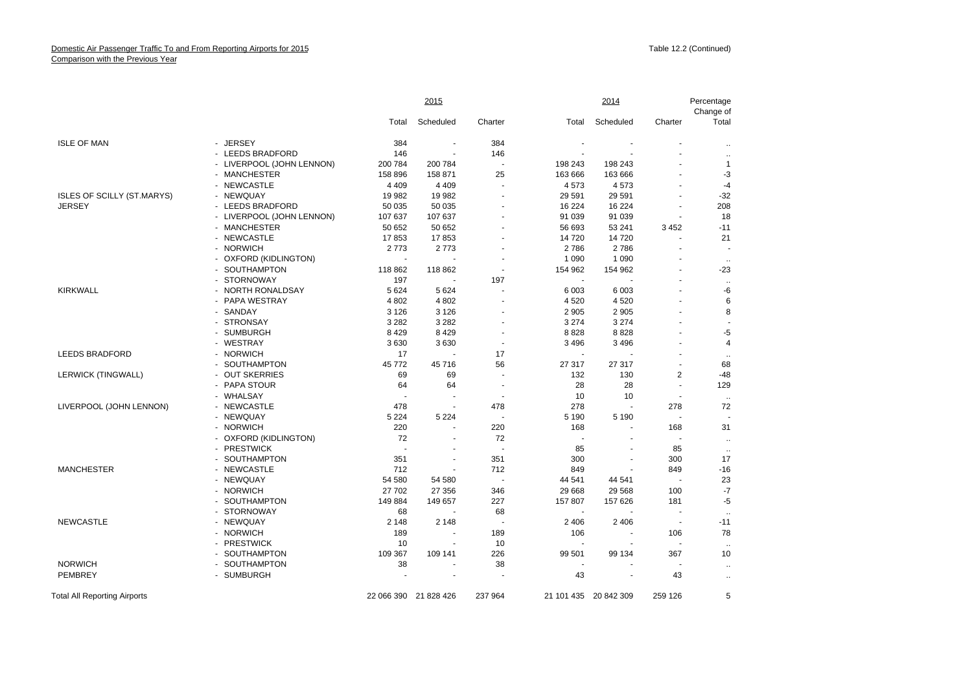| Scheduled<br>Scheduled<br>Total<br>Charter<br>Charter<br>Total<br>Total<br><b>ISLE OF MAN</b><br>- JERSEY<br>384<br>384<br>٠<br>- LEEDS BRADFORD<br>146<br>146<br>ä.<br>- LIVERPOOL (JOHN LENNON)<br>200 784<br>200 784<br>198 243<br>198 243<br>$\mathbf{1}$<br>÷.<br>158 896<br>158 871<br>25<br>$-3$<br>- MANCHESTER<br>163 666<br>163 666<br>$\overline{a}$<br>- NEWCASTLE<br>4 4 0 9<br>4 4 0 9<br>4573<br>4573<br>$-4$<br>$\sim$<br>$-32$<br><b>ISLES OF SCILLY (ST.MARYS)</b><br>- NEWQUAY<br>19 982<br>19 982<br>29 5 91<br>29 5 91<br>208<br><b>JERSEY</b><br>- LEEDS BRADFORD<br>50 035<br>50 035<br>16 224<br>16 224<br>91 039<br>91 039<br>18<br>- LIVERPOOL (JOHN LENNON)<br>107 637<br>107 637<br>50 652<br>50 652<br>3 4 5 2<br>$-11$<br>- MANCHESTER<br>56 693<br>53 241<br>- NEWCASTLE<br>17853<br>17853<br>14720<br>14720<br>21<br>- NORWICH<br>2773<br>2773<br>2786<br>2786<br>$\sim$<br>$\sim$<br>- OXFORD (KIDLINGTON)<br>1 0 9 0<br>1 0 9 0<br>$\overline{a}$<br>$\ddotsc$<br>- SOUTHAMPTON<br>118 862<br>118 862<br>154 962<br>$-23$<br>154 962<br>$\sim$<br>- STORNOWAY<br>197<br>197<br><b>KIRKWALL</b><br>-6<br>- NORTH RONALDSAY<br>5 6 24<br>5 6 2 4<br>6 0 03<br>6 0 0 3<br>- PAPA WESTRAY<br>4 8 0 2<br>6<br>4 8 0 2<br>4520<br>4520<br>8<br>- SANDAY<br>3 1 2 6<br>2 9 0 5<br>3 1 2 6<br>2 9 0 5<br>- STRONSAY<br>3 2 8 2<br>3 2 8 2<br>3 2 7 4<br>3 2 7 4<br>$\overline{a}$<br>8 4 2 9<br>8828<br>$-5$<br>- SUMBURGH<br>8 4 2 9<br>8828<br>- WESTRAY<br>3630<br>3630<br>3 4 9 6<br>3 4 9 6<br>4<br><b>LEEDS BRADFORD</b><br>- NORWICH<br>17<br>17<br>$\ddotsc$<br>45 772<br>45 716<br>56<br>27 317<br>68<br>- SOUTHAMPTON<br>27 317<br>$\overline{\phantom{a}}$<br>$-48$<br><b>LERWICK (TINGWALL)</b><br>- OUT SKERRIES<br>69<br>69<br>132<br>130<br>$\overline{2}$<br>- PAPA STOUR<br>129<br>64<br>64<br>28<br>28<br>$\sim$<br>- WHALSAY<br>10<br>10<br>$\overline{\phantom{a}}$<br>$\overline{\phantom{a}}$<br>$\ddot{\phantom{a}}$<br>LIVERPOOL (JOHN LENNON)<br>- NEWCASTLE<br>478<br>278<br>278<br>72<br>478<br>$\overline{a}$<br>5 2 2 4<br>- NEWQUAY<br>5 2 2 4<br>5 1 9 0<br>5 1 9 0<br>- NORWICH<br>220<br>220<br>168<br>31<br>168<br>- OXFORD (KIDLINGTON)<br>72<br>72<br>$\blacksquare$<br>$\ddot{\phantom{a}}$<br>- PRESTWICK<br>85<br>85<br>$\sim$<br>$\sim$<br>$\ddotsc$<br>17<br>- SOUTHAMPTON<br>351<br>351<br>300<br>300<br>$-16$<br><b>MANCHESTER</b><br>- NEWCASTLE<br>712<br>712<br>849<br>849<br>- NEWQUAY<br>23<br>54 580<br>54 580<br>44 541<br>44 541<br>$\sim$<br>÷.<br>- NORWICH<br>27 702<br>27 356<br>346<br>29 6 68<br>29 5 68<br>100<br>$-7$<br>$-5$<br>149 884<br>149 657<br>227<br>157 807<br>181<br>- SOUTHAMPTON<br>157 626<br>- STORNOWAY<br>68<br>68<br>$\sim$<br>$\sim$<br><b>NEWCASTLE</b><br>- NEWQUAY<br>2 1 4 8<br>2 1 4 8<br>2 4 0 6<br>2 4 0 6<br>$-11$<br>$\overline{\phantom{a}}$<br>- NORWICH<br>189<br>78<br>189<br>106<br>106<br>- PRESTWICK<br>10<br>10<br>ä,<br>$\blacksquare$<br>$\overline{\phantom{a}}$<br>$\ddot{\phantom{a}}$<br>- SOUTHAMPTON<br>109 367<br>109 141<br>226<br>99 501<br>367<br>10<br>99 134<br><b>NORWICH</b><br>- SOUTHAMPTON<br>38<br>38<br>$\blacksquare$<br>$\ddotsc$<br><b>PEMBREY</b><br>- SUMBURGH<br>43<br>43<br>$\ddotsc$<br>5<br>22 066 390 21 828 426<br>237 964<br>21 101 435 20 842 309<br>259 126 |  | 2015 |  | 2014 | Percentage<br>Change of |
|-------------------------------------------------------------------------------------------------------------------------------------------------------------------------------------------------------------------------------------------------------------------------------------------------------------------------------------------------------------------------------------------------------------------------------------------------------------------------------------------------------------------------------------------------------------------------------------------------------------------------------------------------------------------------------------------------------------------------------------------------------------------------------------------------------------------------------------------------------------------------------------------------------------------------------------------------------------------------------------------------------------------------------------------------------------------------------------------------------------------------------------------------------------------------------------------------------------------------------------------------------------------------------------------------------------------------------------------------------------------------------------------------------------------------------------------------------------------------------------------------------------------------------------------------------------------------------------------------------------------------------------------------------------------------------------------------------------------------------------------------------------------------------------------------------------------------------------------------------------------------------------------------------------------------------------------------------------------------------------------------------------------------------------------------------------------------------------------------------------------------------------------------------------------------------------------------------------------------------------------------------------------------------------------------------------------------------------------------------------------------------------------------------------------------------------------------------------------------------------------------------------------------------------------------------------------------------------------------------------------------------------------------------------------------------------------------------------------------------------------------------------------------------------------------------------------------------------------------------------------------------------------------------------------------------------------------------------------------------------------------------------------------------------------------------------------------------------------------------------------------------------------------------------------------------------------------------------------------------------------------------------------------------------------------------------------------|--|------|--|------|-------------------------|
|                                                                                                                                                                                                                                                                                                                                                                                                                                                                                                                                                                                                                                                                                                                                                                                                                                                                                                                                                                                                                                                                                                                                                                                                                                                                                                                                                                                                                                                                                                                                                                                                                                                                                                                                                                                                                                                                                                                                                                                                                                                                                                                                                                                                                                                                                                                                                                                                                                                                                                                                                                                                                                                                                                                                                                                                                                                                                                                                                                                                                                                                                                                                                                                                                                                                                                                         |  |      |  |      |                         |
| <b>Total All Reporting Airports</b>                                                                                                                                                                                                                                                                                                                                                                                                                                                                                                                                                                                                                                                                                                                                                                                                                                                                                                                                                                                                                                                                                                                                                                                                                                                                                                                                                                                                                                                                                                                                                                                                                                                                                                                                                                                                                                                                                                                                                                                                                                                                                                                                                                                                                                                                                                                                                                                                                                                                                                                                                                                                                                                                                                                                                                                                                                                                                                                                                                                                                                                                                                                                                                                                                                                                                     |  |      |  |      |                         |
|                                                                                                                                                                                                                                                                                                                                                                                                                                                                                                                                                                                                                                                                                                                                                                                                                                                                                                                                                                                                                                                                                                                                                                                                                                                                                                                                                                                                                                                                                                                                                                                                                                                                                                                                                                                                                                                                                                                                                                                                                                                                                                                                                                                                                                                                                                                                                                                                                                                                                                                                                                                                                                                                                                                                                                                                                                                                                                                                                                                                                                                                                                                                                                                                                                                                                                                         |  |      |  |      |                         |
|                                                                                                                                                                                                                                                                                                                                                                                                                                                                                                                                                                                                                                                                                                                                                                                                                                                                                                                                                                                                                                                                                                                                                                                                                                                                                                                                                                                                                                                                                                                                                                                                                                                                                                                                                                                                                                                                                                                                                                                                                                                                                                                                                                                                                                                                                                                                                                                                                                                                                                                                                                                                                                                                                                                                                                                                                                                                                                                                                                                                                                                                                                                                                                                                                                                                                                                         |  |      |  |      |                         |
|                                                                                                                                                                                                                                                                                                                                                                                                                                                                                                                                                                                                                                                                                                                                                                                                                                                                                                                                                                                                                                                                                                                                                                                                                                                                                                                                                                                                                                                                                                                                                                                                                                                                                                                                                                                                                                                                                                                                                                                                                                                                                                                                                                                                                                                                                                                                                                                                                                                                                                                                                                                                                                                                                                                                                                                                                                                                                                                                                                                                                                                                                                                                                                                                                                                                                                                         |  |      |  |      |                         |
|                                                                                                                                                                                                                                                                                                                                                                                                                                                                                                                                                                                                                                                                                                                                                                                                                                                                                                                                                                                                                                                                                                                                                                                                                                                                                                                                                                                                                                                                                                                                                                                                                                                                                                                                                                                                                                                                                                                                                                                                                                                                                                                                                                                                                                                                                                                                                                                                                                                                                                                                                                                                                                                                                                                                                                                                                                                                                                                                                                                                                                                                                                                                                                                                                                                                                                                         |  |      |  |      |                         |
|                                                                                                                                                                                                                                                                                                                                                                                                                                                                                                                                                                                                                                                                                                                                                                                                                                                                                                                                                                                                                                                                                                                                                                                                                                                                                                                                                                                                                                                                                                                                                                                                                                                                                                                                                                                                                                                                                                                                                                                                                                                                                                                                                                                                                                                                                                                                                                                                                                                                                                                                                                                                                                                                                                                                                                                                                                                                                                                                                                                                                                                                                                                                                                                                                                                                                                                         |  |      |  |      |                         |
|                                                                                                                                                                                                                                                                                                                                                                                                                                                                                                                                                                                                                                                                                                                                                                                                                                                                                                                                                                                                                                                                                                                                                                                                                                                                                                                                                                                                                                                                                                                                                                                                                                                                                                                                                                                                                                                                                                                                                                                                                                                                                                                                                                                                                                                                                                                                                                                                                                                                                                                                                                                                                                                                                                                                                                                                                                                                                                                                                                                                                                                                                                                                                                                                                                                                                                                         |  |      |  |      |                         |
|                                                                                                                                                                                                                                                                                                                                                                                                                                                                                                                                                                                                                                                                                                                                                                                                                                                                                                                                                                                                                                                                                                                                                                                                                                                                                                                                                                                                                                                                                                                                                                                                                                                                                                                                                                                                                                                                                                                                                                                                                                                                                                                                                                                                                                                                                                                                                                                                                                                                                                                                                                                                                                                                                                                                                                                                                                                                                                                                                                                                                                                                                                                                                                                                                                                                                                                         |  |      |  |      |                         |
|                                                                                                                                                                                                                                                                                                                                                                                                                                                                                                                                                                                                                                                                                                                                                                                                                                                                                                                                                                                                                                                                                                                                                                                                                                                                                                                                                                                                                                                                                                                                                                                                                                                                                                                                                                                                                                                                                                                                                                                                                                                                                                                                                                                                                                                                                                                                                                                                                                                                                                                                                                                                                                                                                                                                                                                                                                                                                                                                                                                                                                                                                                                                                                                                                                                                                                                         |  |      |  |      |                         |
|                                                                                                                                                                                                                                                                                                                                                                                                                                                                                                                                                                                                                                                                                                                                                                                                                                                                                                                                                                                                                                                                                                                                                                                                                                                                                                                                                                                                                                                                                                                                                                                                                                                                                                                                                                                                                                                                                                                                                                                                                                                                                                                                                                                                                                                                                                                                                                                                                                                                                                                                                                                                                                                                                                                                                                                                                                                                                                                                                                                                                                                                                                                                                                                                                                                                                                                         |  |      |  |      |                         |
|                                                                                                                                                                                                                                                                                                                                                                                                                                                                                                                                                                                                                                                                                                                                                                                                                                                                                                                                                                                                                                                                                                                                                                                                                                                                                                                                                                                                                                                                                                                                                                                                                                                                                                                                                                                                                                                                                                                                                                                                                                                                                                                                                                                                                                                                                                                                                                                                                                                                                                                                                                                                                                                                                                                                                                                                                                                                                                                                                                                                                                                                                                                                                                                                                                                                                                                         |  |      |  |      |                         |
|                                                                                                                                                                                                                                                                                                                                                                                                                                                                                                                                                                                                                                                                                                                                                                                                                                                                                                                                                                                                                                                                                                                                                                                                                                                                                                                                                                                                                                                                                                                                                                                                                                                                                                                                                                                                                                                                                                                                                                                                                                                                                                                                                                                                                                                                                                                                                                                                                                                                                                                                                                                                                                                                                                                                                                                                                                                                                                                                                                                                                                                                                                                                                                                                                                                                                                                         |  |      |  |      |                         |
|                                                                                                                                                                                                                                                                                                                                                                                                                                                                                                                                                                                                                                                                                                                                                                                                                                                                                                                                                                                                                                                                                                                                                                                                                                                                                                                                                                                                                                                                                                                                                                                                                                                                                                                                                                                                                                                                                                                                                                                                                                                                                                                                                                                                                                                                                                                                                                                                                                                                                                                                                                                                                                                                                                                                                                                                                                                                                                                                                                                                                                                                                                                                                                                                                                                                                                                         |  |      |  |      |                         |
|                                                                                                                                                                                                                                                                                                                                                                                                                                                                                                                                                                                                                                                                                                                                                                                                                                                                                                                                                                                                                                                                                                                                                                                                                                                                                                                                                                                                                                                                                                                                                                                                                                                                                                                                                                                                                                                                                                                                                                                                                                                                                                                                                                                                                                                                                                                                                                                                                                                                                                                                                                                                                                                                                                                                                                                                                                                                                                                                                                                                                                                                                                                                                                                                                                                                                                                         |  |      |  |      |                         |
|                                                                                                                                                                                                                                                                                                                                                                                                                                                                                                                                                                                                                                                                                                                                                                                                                                                                                                                                                                                                                                                                                                                                                                                                                                                                                                                                                                                                                                                                                                                                                                                                                                                                                                                                                                                                                                                                                                                                                                                                                                                                                                                                                                                                                                                                                                                                                                                                                                                                                                                                                                                                                                                                                                                                                                                                                                                                                                                                                                                                                                                                                                                                                                                                                                                                                                                         |  |      |  |      |                         |
|                                                                                                                                                                                                                                                                                                                                                                                                                                                                                                                                                                                                                                                                                                                                                                                                                                                                                                                                                                                                                                                                                                                                                                                                                                                                                                                                                                                                                                                                                                                                                                                                                                                                                                                                                                                                                                                                                                                                                                                                                                                                                                                                                                                                                                                                                                                                                                                                                                                                                                                                                                                                                                                                                                                                                                                                                                                                                                                                                                                                                                                                                                                                                                                                                                                                                                                         |  |      |  |      |                         |
|                                                                                                                                                                                                                                                                                                                                                                                                                                                                                                                                                                                                                                                                                                                                                                                                                                                                                                                                                                                                                                                                                                                                                                                                                                                                                                                                                                                                                                                                                                                                                                                                                                                                                                                                                                                                                                                                                                                                                                                                                                                                                                                                                                                                                                                                                                                                                                                                                                                                                                                                                                                                                                                                                                                                                                                                                                                                                                                                                                                                                                                                                                                                                                                                                                                                                                                         |  |      |  |      |                         |
|                                                                                                                                                                                                                                                                                                                                                                                                                                                                                                                                                                                                                                                                                                                                                                                                                                                                                                                                                                                                                                                                                                                                                                                                                                                                                                                                                                                                                                                                                                                                                                                                                                                                                                                                                                                                                                                                                                                                                                                                                                                                                                                                                                                                                                                                                                                                                                                                                                                                                                                                                                                                                                                                                                                                                                                                                                                                                                                                                                                                                                                                                                                                                                                                                                                                                                                         |  |      |  |      |                         |
|                                                                                                                                                                                                                                                                                                                                                                                                                                                                                                                                                                                                                                                                                                                                                                                                                                                                                                                                                                                                                                                                                                                                                                                                                                                                                                                                                                                                                                                                                                                                                                                                                                                                                                                                                                                                                                                                                                                                                                                                                                                                                                                                                                                                                                                                                                                                                                                                                                                                                                                                                                                                                                                                                                                                                                                                                                                                                                                                                                                                                                                                                                                                                                                                                                                                                                                         |  |      |  |      |                         |
|                                                                                                                                                                                                                                                                                                                                                                                                                                                                                                                                                                                                                                                                                                                                                                                                                                                                                                                                                                                                                                                                                                                                                                                                                                                                                                                                                                                                                                                                                                                                                                                                                                                                                                                                                                                                                                                                                                                                                                                                                                                                                                                                                                                                                                                                                                                                                                                                                                                                                                                                                                                                                                                                                                                                                                                                                                                                                                                                                                                                                                                                                                                                                                                                                                                                                                                         |  |      |  |      |                         |
|                                                                                                                                                                                                                                                                                                                                                                                                                                                                                                                                                                                                                                                                                                                                                                                                                                                                                                                                                                                                                                                                                                                                                                                                                                                                                                                                                                                                                                                                                                                                                                                                                                                                                                                                                                                                                                                                                                                                                                                                                                                                                                                                                                                                                                                                                                                                                                                                                                                                                                                                                                                                                                                                                                                                                                                                                                                                                                                                                                                                                                                                                                                                                                                                                                                                                                                         |  |      |  |      |                         |
|                                                                                                                                                                                                                                                                                                                                                                                                                                                                                                                                                                                                                                                                                                                                                                                                                                                                                                                                                                                                                                                                                                                                                                                                                                                                                                                                                                                                                                                                                                                                                                                                                                                                                                                                                                                                                                                                                                                                                                                                                                                                                                                                                                                                                                                                                                                                                                                                                                                                                                                                                                                                                                                                                                                                                                                                                                                                                                                                                                                                                                                                                                                                                                                                                                                                                                                         |  |      |  |      |                         |
|                                                                                                                                                                                                                                                                                                                                                                                                                                                                                                                                                                                                                                                                                                                                                                                                                                                                                                                                                                                                                                                                                                                                                                                                                                                                                                                                                                                                                                                                                                                                                                                                                                                                                                                                                                                                                                                                                                                                                                                                                                                                                                                                                                                                                                                                                                                                                                                                                                                                                                                                                                                                                                                                                                                                                                                                                                                                                                                                                                                                                                                                                                                                                                                                                                                                                                                         |  |      |  |      |                         |
|                                                                                                                                                                                                                                                                                                                                                                                                                                                                                                                                                                                                                                                                                                                                                                                                                                                                                                                                                                                                                                                                                                                                                                                                                                                                                                                                                                                                                                                                                                                                                                                                                                                                                                                                                                                                                                                                                                                                                                                                                                                                                                                                                                                                                                                                                                                                                                                                                                                                                                                                                                                                                                                                                                                                                                                                                                                                                                                                                                                                                                                                                                                                                                                                                                                                                                                         |  |      |  |      |                         |
|                                                                                                                                                                                                                                                                                                                                                                                                                                                                                                                                                                                                                                                                                                                                                                                                                                                                                                                                                                                                                                                                                                                                                                                                                                                                                                                                                                                                                                                                                                                                                                                                                                                                                                                                                                                                                                                                                                                                                                                                                                                                                                                                                                                                                                                                                                                                                                                                                                                                                                                                                                                                                                                                                                                                                                                                                                                                                                                                                                                                                                                                                                                                                                                                                                                                                                                         |  |      |  |      |                         |
|                                                                                                                                                                                                                                                                                                                                                                                                                                                                                                                                                                                                                                                                                                                                                                                                                                                                                                                                                                                                                                                                                                                                                                                                                                                                                                                                                                                                                                                                                                                                                                                                                                                                                                                                                                                                                                                                                                                                                                                                                                                                                                                                                                                                                                                                                                                                                                                                                                                                                                                                                                                                                                                                                                                                                                                                                                                                                                                                                                                                                                                                                                                                                                                                                                                                                                                         |  |      |  |      |                         |
|                                                                                                                                                                                                                                                                                                                                                                                                                                                                                                                                                                                                                                                                                                                                                                                                                                                                                                                                                                                                                                                                                                                                                                                                                                                                                                                                                                                                                                                                                                                                                                                                                                                                                                                                                                                                                                                                                                                                                                                                                                                                                                                                                                                                                                                                                                                                                                                                                                                                                                                                                                                                                                                                                                                                                                                                                                                                                                                                                                                                                                                                                                                                                                                                                                                                                                                         |  |      |  |      |                         |
|                                                                                                                                                                                                                                                                                                                                                                                                                                                                                                                                                                                                                                                                                                                                                                                                                                                                                                                                                                                                                                                                                                                                                                                                                                                                                                                                                                                                                                                                                                                                                                                                                                                                                                                                                                                                                                                                                                                                                                                                                                                                                                                                                                                                                                                                                                                                                                                                                                                                                                                                                                                                                                                                                                                                                                                                                                                                                                                                                                                                                                                                                                                                                                                                                                                                                                                         |  |      |  |      |                         |
|                                                                                                                                                                                                                                                                                                                                                                                                                                                                                                                                                                                                                                                                                                                                                                                                                                                                                                                                                                                                                                                                                                                                                                                                                                                                                                                                                                                                                                                                                                                                                                                                                                                                                                                                                                                                                                                                                                                                                                                                                                                                                                                                                                                                                                                                                                                                                                                                                                                                                                                                                                                                                                                                                                                                                                                                                                                                                                                                                                                                                                                                                                                                                                                                                                                                                                                         |  |      |  |      |                         |
|                                                                                                                                                                                                                                                                                                                                                                                                                                                                                                                                                                                                                                                                                                                                                                                                                                                                                                                                                                                                                                                                                                                                                                                                                                                                                                                                                                                                                                                                                                                                                                                                                                                                                                                                                                                                                                                                                                                                                                                                                                                                                                                                                                                                                                                                                                                                                                                                                                                                                                                                                                                                                                                                                                                                                                                                                                                                                                                                                                                                                                                                                                                                                                                                                                                                                                                         |  |      |  |      |                         |
|                                                                                                                                                                                                                                                                                                                                                                                                                                                                                                                                                                                                                                                                                                                                                                                                                                                                                                                                                                                                                                                                                                                                                                                                                                                                                                                                                                                                                                                                                                                                                                                                                                                                                                                                                                                                                                                                                                                                                                                                                                                                                                                                                                                                                                                                                                                                                                                                                                                                                                                                                                                                                                                                                                                                                                                                                                                                                                                                                                                                                                                                                                                                                                                                                                                                                                                         |  |      |  |      |                         |
|                                                                                                                                                                                                                                                                                                                                                                                                                                                                                                                                                                                                                                                                                                                                                                                                                                                                                                                                                                                                                                                                                                                                                                                                                                                                                                                                                                                                                                                                                                                                                                                                                                                                                                                                                                                                                                                                                                                                                                                                                                                                                                                                                                                                                                                                                                                                                                                                                                                                                                                                                                                                                                                                                                                                                                                                                                                                                                                                                                                                                                                                                                                                                                                                                                                                                                                         |  |      |  |      |                         |
|                                                                                                                                                                                                                                                                                                                                                                                                                                                                                                                                                                                                                                                                                                                                                                                                                                                                                                                                                                                                                                                                                                                                                                                                                                                                                                                                                                                                                                                                                                                                                                                                                                                                                                                                                                                                                                                                                                                                                                                                                                                                                                                                                                                                                                                                                                                                                                                                                                                                                                                                                                                                                                                                                                                                                                                                                                                                                                                                                                                                                                                                                                                                                                                                                                                                                                                         |  |      |  |      |                         |
|                                                                                                                                                                                                                                                                                                                                                                                                                                                                                                                                                                                                                                                                                                                                                                                                                                                                                                                                                                                                                                                                                                                                                                                                                                                                                                                                                                                                                                                                                                                                                                                                                                                                                                                                                                                                                                                                                                                                                                                                                                                                                                                                                                                                                                                                                                                                                                                                                                                                                                                                                                                                                                                                                                                                                                                                                                                                                                                                                                                                                                                                                                                                                                                                                                                                                                                         |  |      |  |      |                         |
|                                                                                                                                                                                                                                                                                                                                                                                                                                                                                                                                                                                                                                                                                                                                                                                                                                                                                                                                                                                                                                                                                                                                                                                                                                                                                                                                                                                                                                                                                                                                                                                                                                                                                                                                                                                                                                                                                                                                                                                                                                                                                                                                                                                                                                                                                                                                                                                                                                                                                                                                                                                                                                                                                                                                                                                                                                                                                                                                                                                                                                                                                                                                                                                                                                                                                                                         |  |      |  |      |                         |
|                                                                                                                                                                                                                                                                                                                                                                                                                                                                                                                                                                                                                                                                                                                                                                                                                                                                                                                                                                                                                                                                                                                                                                                                                                                                                                                                                                                                                                                                                                                                                                                                                                                                                                                                                                                                                                                                                                                                                                                                                                                                                                                                                                                                                                                                                                                                                                                                                                                                                                                                                                                                                                                                                                                                                                                                                                                                                                                                                                                                                                                                                                                                                                                                                                                                                                                         |  |      |  |      |                         |
|                                                                                                                                                                                                                                                                                                                                                                                                                                                                                                                                                                                                                                                                                                                                                                                                                                                                                                                                                                                                                                                                                                                                                                                                                                                                                                                                                                                                                                                                                                                                                                                                                                                                                                                                                                                                                                                                                                                                                                                                                                                                                                                                                                                                                                                                                                                                                                                                                                                                                                                                                                                                                                                                                                                                                                                                                                                                                                                                                                                                                                                                                                                                                                                                                                                                                                                         |  |      |  |      |                         |
|                                                                                                                                                                                                                                                                                                                                                                                                                                                                                                                                                                                                                                                                                                                                                                                                                                                                                                                                                                                                                                                                                                                                                                                                                                                                                                                                                                                                                                                                                                                                                                                                                                                                                                                                                                                                                                                                                                                                                                                                                                                                                                                                                                                                                                                                                                                                                                                                                                                                                                                                                                                                                                                                                                                                                                                                                                                                                                                                                                                                                                                                                                                                                                                                                                                                                                                         |  |      |  |      |                         |
|                                                                                                                                                                                                                                                                                                                                                                                                                                                                                                                                                                                                                                                                                                                                                                                                                                                                                                                                                                                                                                                                                                                                                                                                                                                                                                                                                                                                                                                                                                                                                                                                                                                                                                                                                                                                                                                                                                                                                                                                                                                                                                                                                                                                                                                                                                                                                                                                                                                                                                                                                                                                                                                                                                                                                                                                                                                                                                                                                                                                                                                                                                                                                                                                                                                                                                                         |  |      |  |      |                         |
|                                                                                                                                                                                                                                                                                                                                                                                                                                                                                                                                                                                                                                                                                                                                                                                                                                                                                                                                                                                                                                                                                                                                                                                                                                                                                                                                                                                                                                                                                                                                                                                                                                                                                                                                                                                                                                                                                                                                                                                                                                                                                                                                                                                                                                                                                                                                                                                                                                                                                                                                                                                                                                                                                                                                                                                                                                                                                                                                                                                                                                                                                                                                                                                                                                                                                                                         |  |      |  |      |                         |
|                                                                                                                                                                                                                                                                                                                                                                                                                                                                                                                                                                                                                                                                                                                                                                                                                                                                                                                                                                                                                                                                                                                                                                                                                                                                                                                                                                                                                                                                                                                                                                                                                                                                                                                                                                                                                                                                                                                                                                                                                                                                                                                                                                                                                                                                                                                                                                                                                                                                                                                                                                                                                                                                                                                                                                                                                                                                                                                                                                                                                                                                                                                                                                                                                                                                                                                         |  |      |  |      |                         |
|                                                                                                                                                                                                                                                                                                                                                                                                                                                                                                                                                                                                                                                                                                                                                                                                                                                                                                                                                                                                                                                                                                                                                                                                                                                                                                                                                                                                                                                                                                                                                                                                                                                                                                                                                                                                                                                                                                                                                                                                                                                                                                                                                                                                                                                                                                                                                                                                                                                                                                                                                                                                                                                                                                                                                                                                                                                                                                                                                                                                                                                                                                                                                                                                                                                                                                                         |  |      |  |      |                         |
|                                                                                                                                                                                                                                                                                                                                                                                                                                                                                                                                                                                                                                                                                                                                                                                                                                                                                                                                                                                                                                                                                                                                                                                                                                                                                                                                                                                                                                                                                                                                                                                                                                                                                                                                                                                                                                                                                                                                                                                                                                                                                                                                                                                                                                                                                                                                                                                                                                                                                                                                                                                                                                                                                                                                                                                                                                                                                                                                                                                                                                                                                                                                                                                                                                                                                                                         |  |      |  |      |                         |